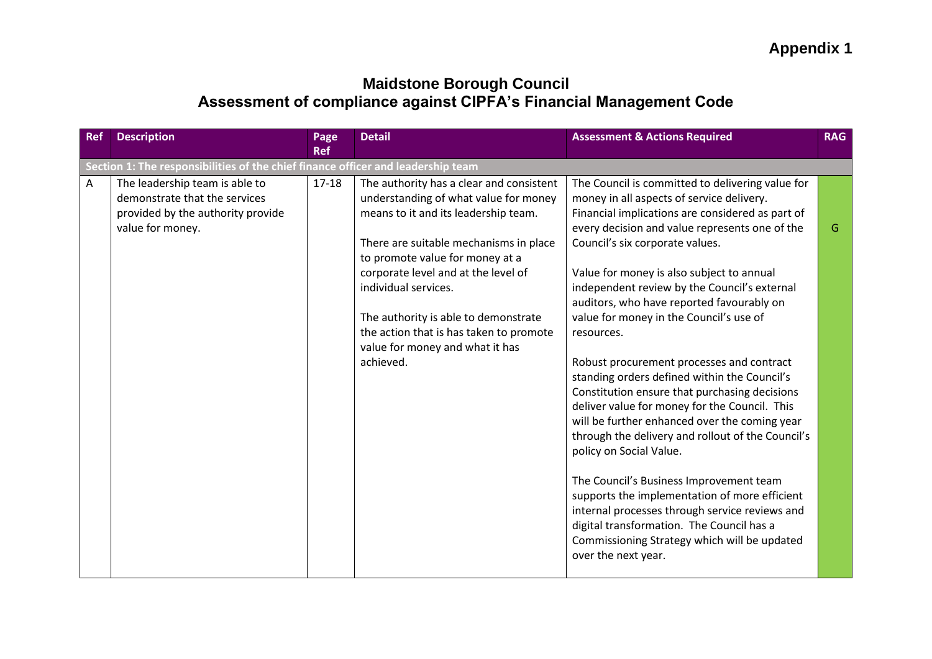| <b>Ref</b> | <b>Description</b>                                                                                                       | Page<br><b>Ref</b> | <b>Detail</b>                                                                                                                                                                                                                                                                                                                                                                                            | <b>Assessment &amp; Actions Required</b>                                                                                                                                                                                                                                                                                                                                                                                                                                                                                                                                                                                                                                                                                                                                                                                                                                                                                                                                                                                                    | <b>RAG</b> |  |  |
|------------|--------------------------------------------------------------------------------------------------------------------------|--------------------|----------------------------------------------------------------------------------------------------------------------------------------------------------------------------------------------------------------------------------------------------------------------------------------------------------------------------------------------------------------------------------------------------------|---------------------------------------------------------------------------------------------------------------------------------------------------------------------------------------------------------------------------------------------------------------------------------------------------------------------------------------------------------------------------------------------------------------------------------------------------------------------------------------------------------------------------------------------------------------------------------------------------------------------------------------------------------------------------------------------------------------------------------------------------------------------------------------------------------------------------------------------------------------------------------------------------------------------------------------------------------------------------------------------------------------------------------------------|------------|--|--|
|            | Section 1: The responsibilities of the chief finance officer and leadership team                                         |                    |                                                                                                                                                                                                                                                                                                                                                                                                          |                                                                                                                                                                                                                                                                                                                                                                                                                                                                                                                                                                                                                                                                                                                                                                                                                                                                                                                                                                                                                                             |            |  |  |
| Α          | The leadership team is able to<br>demonstrate that the services<br>provided by the authority provide<br>value for money. | $17 - 18$          | The authority has a clear and consistent<br>understanding of what value for money<br>means to it and its leadership team.<br>There are suitable mechanisms in place<br>to promote value for money at a<br>corporate level and at the level of<br>individual services.<br>The authority is able to demonstrate<br>the action that is has taken to promote<br>value for money and what it has<br>achieved. | The Council is committed to delivering value for<br>money in all aspects of service delivery.<br>Financial implications are considered as part of<br>every decision and value represents one of the<br>Council's six corporate values.<br>Value for money is also subject to annual<br>independent review by the Council's external<br>auditors, who have reported favourably on<br>value for money in the Council's use of<br>resources.<br>Robust procurement processes and contract<br>standing orders defined within the Council's<br>Constitution ensure that purchasing decisions<br>deliver value for money for the Council. This<br>will be further enhanced over the coming year<br>through the delivery and rollout of the Council's<br>policy on Social Value.<br>The Council's Business Improvement team<br>supports the implementation of more efficient<br>internal processes through service reviews and<br>digital transformation. The Council has a<br>Commissioning Strategy which will be updated<br>over the next year. | G          |  |  |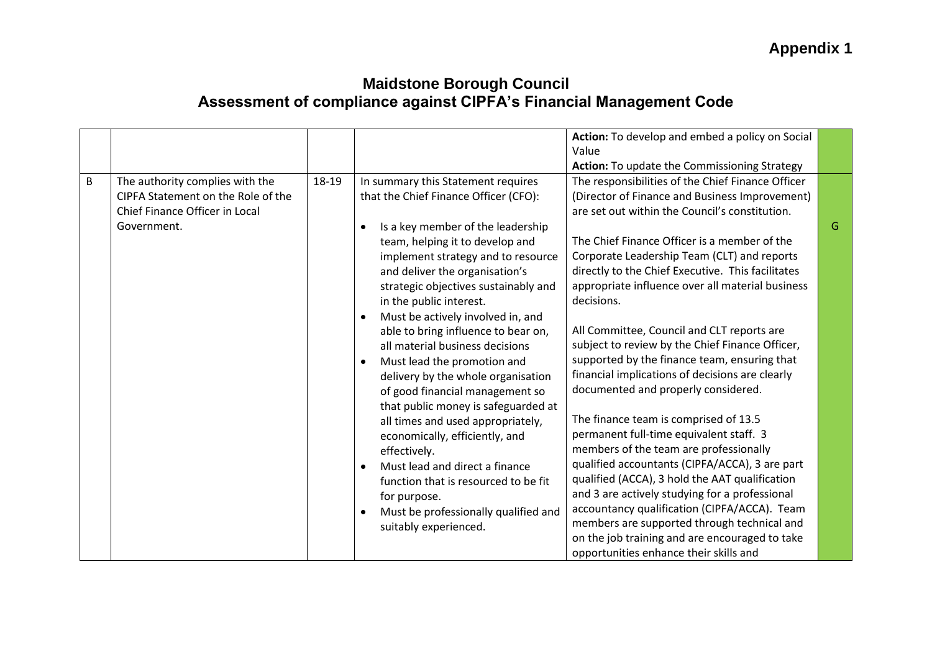|         |                                                                                                                        |       |                                                                                                                                                                                                                                                                                                                                                                                                                                                                                                                                                                                                                                                                                                                                                                                   | Action: To develop and embed a policy on Social<br>Value<br>Action: To update the Commissioning Strategy                                                                                                                                                                                                                                                                                                                                                                                                                                                                                                                                                                                                                                                                                                                                                                                                   |   |
|---------|------------------------------------------------------------------------------------------------------------------------|-------|-----------------------------------------------------------------------------------------------------------------------------------------------------------------------------------------------------------------------------------------------------------------------------------------------------------------------------------------------------------------------------------------------------------------------------------------------------------------------------------------------------------------------------------------------------------------------------------------------------------------------------------------------------------------------------------------------------------------------------------------------------------------------------------|------------------------------------------------------------------------------------------------------------------------------------------------------------------------------------------------------------------------------------------------------------------------------------------------------------------------------------------------------------------------------------------------------------------------------------------------------------------------------------------------------------------------------------------------------------------------------------------------------------------------------------------------------------------------------------------------------------------------------------------------------------------------------------------------------------------------------------------------------------------------------------------------------------|---|
| $\sf B$ | The authority complies with the<br>CIPFA Statement on the Role of the<br>Chief Finance Officer in Local<br>Government. | 18-19 | In summary this Statement requires<br>that the Chief Finance Officer (CFO):<br>Is a key member of the leadership<br>$\bullet$<br>team, helping it to develop and<br>implement strategy and to resource<br>and deliver the organisation's<br>strategic objectives sustainably and<br>in the public interest.<br>Must be actively involved in, and<br>$\bullet$<br>able to bring influence to bear on,<br>all material business decisions<br>Must lead the promotion and<br>$\bullet$<br>delivery by the whole organisation<br>of good financial management so<br>that public money is safeguarded at<br>all times and used appropriately,<br>economically, efficiently, and<br>effectively.<br>Must lead and direct a finance<br>$\bullet$<br>function that is resourced to be fit | The responsibilities of the Chief Finance Officer<br>(Director of Finance and Business Improvement)<br>are set out within the Council's constitution.<br>The Chief Finance Officer is a member of the<br>Corporate Leadership Team (CLT) and reports<br>directly to the Chief Executive. This facilitates<br>appropriate influence over all material business<br>decisions.<br>All Committee, Council and CLT reports are<br>subject to review by the Chief Finance Officer,<br>supported by the finance team, ensuring that<br>financial implications of decisions are clearly<br>documented and properly considered.<br>The finance team is comprised of 13.5<br>permanent full-time equivalent staff. 3<br>members of the team are professionally<br>qualified accountants (CIPFA/ACCA), 3 are part<br>qualified (ACCA), 3 hold the AAT qualification<br>and 3 are actively studying for a professional | G |
|         |                                                                                                                        |       | for purpose.<br>Must be professionally qualified and<br>$\bullet$<br>suitably experienced.                                                                                                                                                                                                                                                                                                                                                                                                                                                                                                                                                                                                                                                                                        | accountancy qualification (CIPFA/ACCA). Team<br>members are supported through technical and<br>on the job training and are encouraged to take<br>opportunities enhance their skills and                                                                                                                                                                                                                                                                                                                                                                                                                                                                                                                                                                                                                                                                                                                    |   |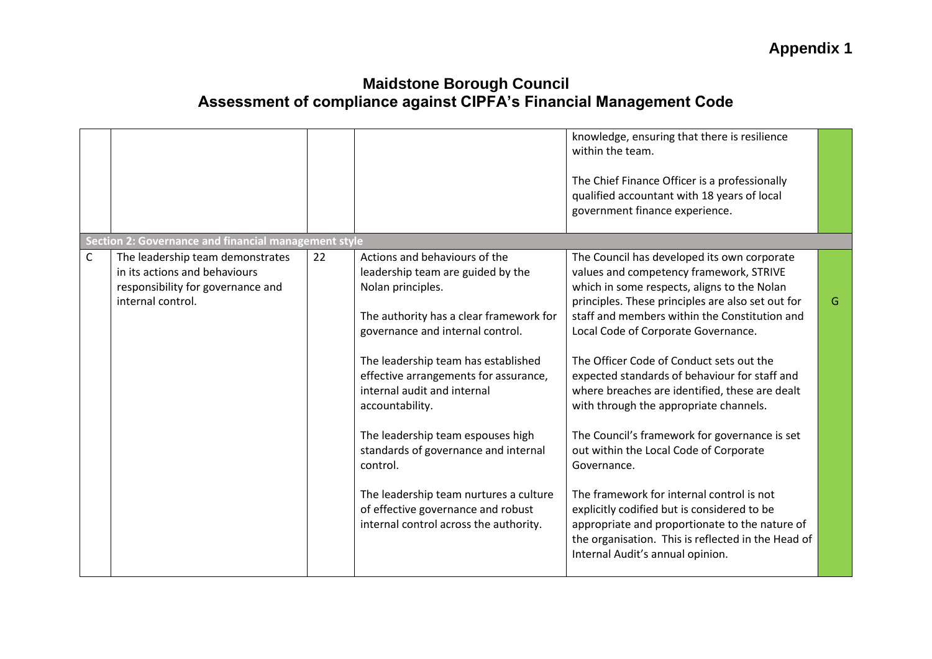|   |                                                                                                                             |    |                                                                                                                                                                                                                                                                                                                                                                                                                                                                                                                             | knowledge, ensuring that there is resilience<br>within the team.<br>The Chief Finance Officer is a professionally<br>qualified accountant with 18 years of local<br>government finance experience.                                                                                                                                                                                                                                                                                                                                                                                                                                                                                                                                                                                                                            |   |
|---|-----------------------------------------------------------------------------------------------------------------------------|----|-----------------------------------------------------------------------------------------------------------------------------------------------------------------------------------------------------------------------------------------------------------------------------------------------------------------------------------------------------------------------------------------------------------------------------------------------------------------------------------------------------------------------------|-------------------------------------------------------------------------------------------------------------------------------------------------------------------------------------------------------------------------------------------------------------------------------------------------------------------------------------------------------------------------------------------------------------------------------------------------------------------------------------------------------------------------------------------------------------------------------------------------------------------------------------------------------------------------------------------------------------------------------------------------------------------------------------------------------------------------------|---|
|   | <b>Section 2: Governance and financial management style</b>                                                                 |    |                                                                                                                                                                                                                                                                                                                                                                                                                                                                                                                             |                                                                                                                                                                                                                                                                                                                                                                                                                                                                                                                                                                                                                                                                                                                                                                                                                               |   |
| C | The leadership team demonstrates<br>in its actions and behaviours<br>responsibility for governance and<br>internal control. | 22 | Actions and behaviours of the<br>leadership team are guided by the<br>Nolan principles.<br>The authority has a clear framework for<br>governance and internal control.<br>The leadership team has established<br>effective arrangements for assurance,<br>internal audit and internal<br>accountability.<br>The leadership team espouses high<br>standards of governance and internal<br>control.<br>The leadership team nurtures a culture<br>of effective governance and robust<br>internal control across the authority. | The Council has developed its own corporate<br>values and competency framework, STRIVE<br>which in some respects, aligns to the Nolan<br>principles. These principles are also set out for<br>staff and members within the Constitution and<br>Local Code of Corporate Governance.<br>The Officer Code of Conduct sets out the<br>expected standards of behaviour for staff and<br>where breaches are identified, these are dealt<br>with through the appropriate channels.<br>The Council's framework for governance is set<br>out within the Local Code of Corporate<br>Governance.<br>The framework for internal control is not<br>explicitly codified but is considered to be<br>appropriate and proportionate to the nature of<br>the organisation. This is reflected in the Head of<br>Internal Audit's annual opinion. | G |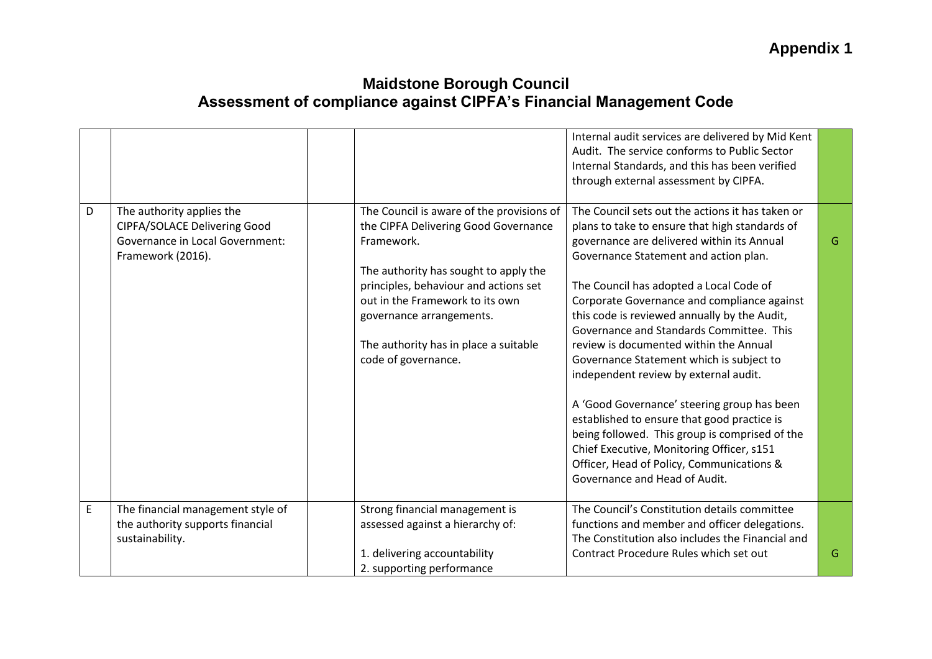|   |                                     |                                           | Internal audit services are delivered by Mid Kent |   |
|---|-------------------------------------|-------------------------------------------|---------------------------------------------------|---|
|   |                                     |                                           | Audit. The service conforms to Public Sector      |   |
|   |                                     |                                           | Internal Standards, and this has been verified    |   |
|   |                                     |                                           | through external assessment by CIPFA.             |   |
|   |                                     |                                           |                                                   |   |
| D | The authority applies the           | The Council is aware of the provisions of | The Council sets out the actions it has taken or  |   |
|   | <b>CIPFA/SOLACE Delivering Good</b> | the CIPFA Delivering Good Governance      | plans to take to ensure that high standards of    |   |
|   | Governance in Local Government:     | Framework.                                | governance are delivered within its Annual        | G |
|   | Framework (2016).                   |                                           | Governance Statement and action plan.             |   |
|   |                                     | The authority has sought to apply the     |                                                   |   |
|   |                                     | principles, behaviour and actions set     | The Council has adopted a Local Code of           |   |
|   |                                     | out in the Framework to its own           | Corporate Governance and compliance against       |   |
|   |                                     | governance arrangements.                  | this code is reviewed annually by the Audit,      |   |
|   |                                     |                                           | Governance and Standards Committee. This          |   |
|   |                                     | The authority has in place a suitable     | review is documented within the Annual            |   |
|   |                                     | code of governance.                       | Governance Statement which is subject to          |   |
|   |                                     |                                           | independent review by external audit.             |   |
|   |                                     |                                           |                                                   |   |
|   |                                     |                                           | A 'Good Governance' steering group has been       |   |
|   |                                     |                                           | established to ensure that good practice is       |   |
|   |                                     |                                           | being followed. This group is comprised of the    |   |
|   |                                     |                                           | Chief Executive, Monitoring Officer, s151         |   |
|   |                                     |                                           | Officer, Head of Policy, Communications &         |   |
|   |                                     |                                           | Governance and Head of Audit.                     |   |
|   |                                     |                                           |                                                   |   |
| E | The financial management style of   | Strong financial management is            | The Council's Constitution details committee      |   |
|   | the authority supports financial    | assessed against a hierarchy of:          | functions and member and officer delegations.     |   |
|   | sustainability.                     |                                           | The Constitution also includes the Financial and  |   |
|   |                                     | 1. delivering accountability              | Contract Procedure Rules which set out            | G |
|   |                                     | 2. supporting performance                 |                                                   |   |
|   |                                     |                                           |                                                   |   |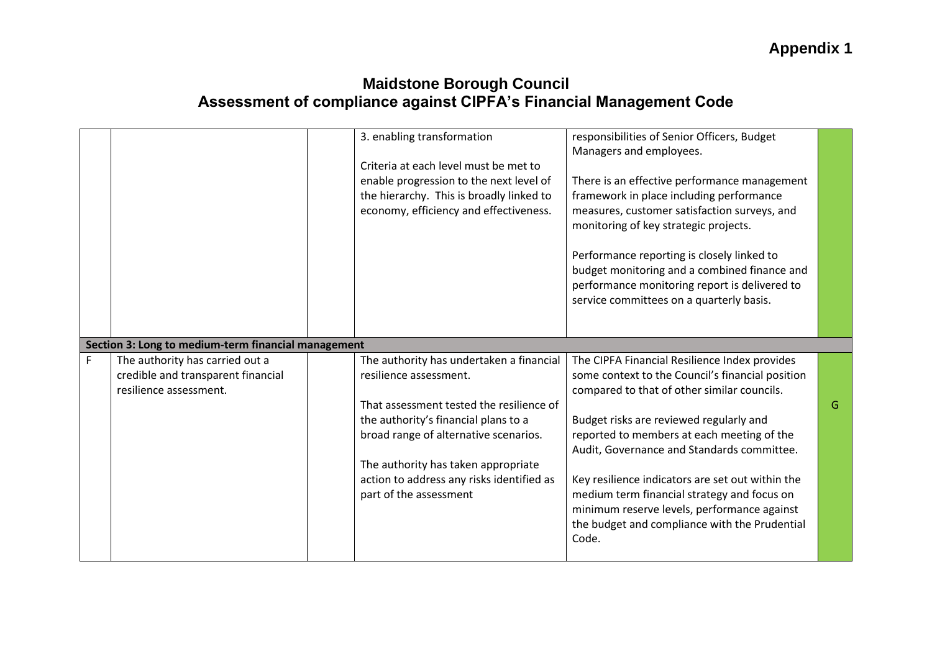|   |                                                                                                 | 3. enabling transformation<br>Criteria at each level must be met to<br>enable progression to the next level of<br>the hierarchy. This is broadly linked to<br>economy, efficiency and effectiveness.                                                                                                          | responsibilities of Senior Officers, Budget<br>Managers and employees.<br>There is an effective performance management<br>framework in place including performance<br>measures, customer satisfaction surveys, and<br>monitoring of key strategic projects.<br>Performance reporting is closely linked to<br>budget monitoring and a combined finance and<br>performance monitoring report is delivered to<br>service committees on a quarterly basis.                                              |   |
|---|-------------------------------------------------------------------------------------------------|---------------------------------------------------------------------------------------------------------------------------------------------------------------------------------------------------------------------------------------------------------------------------------------------------------------|-----------------------------------------------------------------------------------------------------------------------------------------------------------------------------------------------------------------------------------------------------------------------------------------------------------------------------------------------------------------------------------------------------------------------------------------------------------------------------------------------------|---|
|   | Section 3: Long to medium-term financial management                                             |                                                                                                                                                                                                                                                                                                               |                                                                                                                                                                                                                                                                                                                                                                                                                                                                                                     |   |
| F | The authority has carried out a<br>credible and transparent financial<br>resilience assessment. | The authority has undertaken a financial<br>resilience assessment.<br>That assessment tested the resilience of<br>the authority's financial plans to a<br>broad range of alternative scenarios.<br>The authority has taken appropriate<br>action to address any risks identified as<br>part of the assessment | The CIPFA Financial Resilience Index provides<br>some context to the Council's financial position<br>compared to that of other similar councils.<br>Budget risks are reviewed regularly and<br>reported to members at each meeting of the<br>Audit, Governance and Standards committee.<br>Key resilience indicators are set out within the<br>medium term financial strategy and focus on<br>minimum reserve levels, performance against<br>the budget and compliance with the Prudential<br>Code. | G |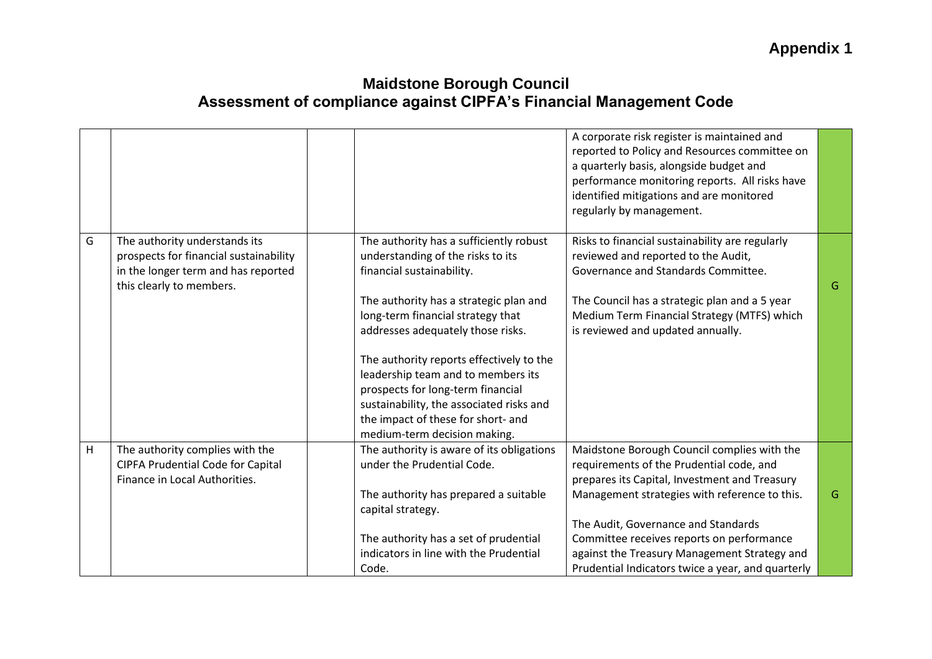|   |                                                                                                                                            |                                                                                                                                                                                                                                                                                                                                                                                                                                                                        | A corporate risk register is maintained and<br>reported to Policy and Resources committee on<br>a quarterly basis, alongside budget and<br>performance monitoring reports. All risks have<br>identified mitigations and are monitored<br>regularly by management.  |   |
|---|--------------------------------------------------------------------------------------------------------------------------------------------|------------------------------------------------------------------------------------------------------------------------------------------------------------------------------------------------------------------------------------------------------------------------------------------------------------------------------------------------------------------------------------------------------------------------------------------------------------------------|--------------------------------------------------------------------------------------------------------------------------------------------------------------------------------------------------------------------------------------------------------------------|---|
| G | The authority understands its<br>prospects for financial sustainability<br>in the longer term and has reported<br>this clearly to members. | The authority has a sufficiently robust<br>understanding of the risks to its<br>financial sustainability.<br>The authority has a strategic plan and<br>long-term financial strategy that<br>addresses adequately those risks.<br>The authority reports effectively to the<br>leadership team and to members its<br>prospects for long-term financial<br>sustainability, the associated risks and<br>the impact of these for short- and<br>medium-term decision making. | Risks to financial sustainability are regularly<br>reviewed and reported to the Audit,<br>Governance and Standards Committee.<br>The Council has a strategic plan and a 5 year<br>Medium Term Financial Strategy (MTFS) which<br>is reviewed and updated annually. | G |
| H | The authority complies with the                                                                                                            | The authority is aware of its obligations                                                                                                                                                                                                                                                                                                                                                                                                                              | Maidstone Borough Council complies with the                                                                                                                                                                                                                        |   |
|   | <b>CIPFA Prudential Code for Capital</b><br>Finance in Local Authorities.                                                                  | under the Prudential Code.<br>The authority has prepared a suitable<br>capital strategy.                                                                                                                                                                                                                                                                                                                                                                               | requirements of the Prudential code, and<br>prepares its Capital, Investment and Treasury<br>Management strategies with reference to this.<br>The Audit, Governance and Standards                                                                                  | G |
|   |                                                                                                                                            | The authority has a set of prudential<br>indicators in line with the Prudential<br>Code.                                                                                                                                                                                                                                                                                                                                                                               | Committee receives reports on performance<br>against the Treasury Management Strategy and<br>Prudential Indicators twice a year, and quarterly                                                                                                                     |   |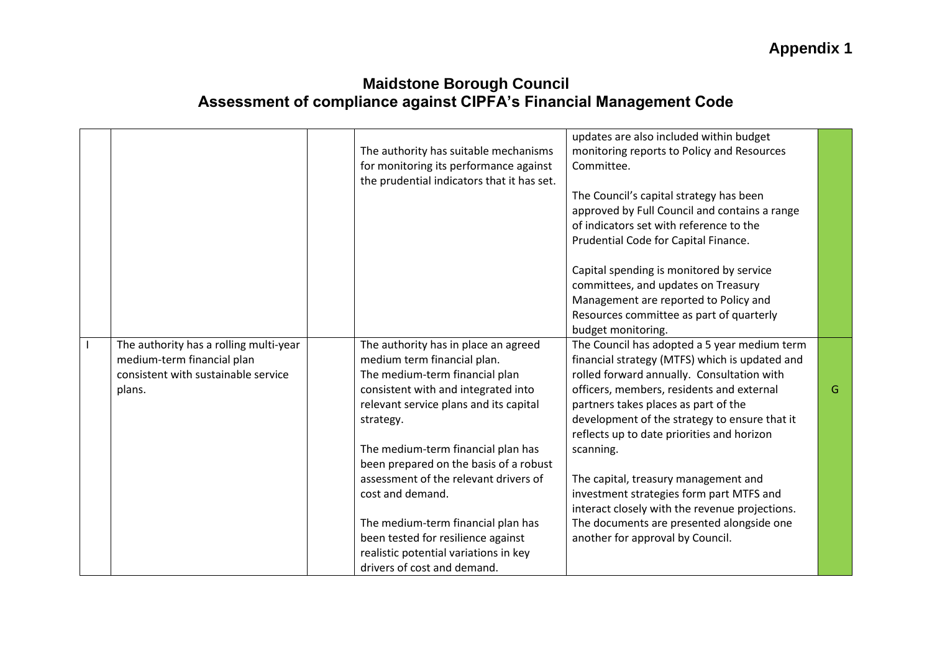| updates are also included within budget<br>The authority has suitable mechanisms<br>monitoring reports to Policy and Resources<br>for monitoring its performance against<br>Committee.<br>the prudential indicators that it has set.<br>The Council's capital strategy has been<br>approved by Full Council and contains a range<br>of indicators set with reference to the<br>Prudential Code for Capital Finance.<br>Capital spending is monitored by service<br>committees, and updates on Treasury<br>Management are reported to Policy and<br>Resources committee as part of quarterly<br>budget monitoring.<br>The Council has adopted a 5 year medium term<br>The authority has a rolling multi-year<br>The authority has in place an agreed<br>medium-term financial plan<br>medium term financial plan.<br>financial strategy (MTFS) which is updated and<br>consistent with sustainable service<br>The medium-term financial plan<br>rolled forward annually. Consultation with<br>consistent with and integrated into<br>officers, members, residents and external<br>G<br>plans.<br>relevant service plans and its capital<br>partners takes places as part of the<br>development of the strategy to ensure that it<br>strategy.<br>reflects up to date priorities and horizon<br>The medium-term financial plan has<br>scanning.<br>been prepared on the basis of a robust<br>assessment of the relevant drivers of<br>The capital, treasury management and<br>investment strategies form part MTFS and<br>cost and demand. |  |                                                |  |
|------------------------------------------------------------------------------------------------------------------------------------------------------------------------------------------------------------------------------------------------------------------------------------------------------------------------------------------------------------------------------------------------------------------------------------------------------------------------------------------------------------------------------------------------------------------------------------------------------------------------------------------------------------------------------------------------------------------------------------------------------------------------------------------------------------------------------------------------------------------------------------------------------------------------------------------------------------------------------------------------------------------------------------------------------------------------------------------------------------------------------------------------------------------------------------------------------------------------------------------------------------------------------------------------------------------------------------------------------------------------------------------------------------------------------------------------------------------------------------------------------------------------------------------|--|------------------------------------------------|--|
|                                                                                                                                                                                                                                                                                                                                                                                                                                                                                                                                                                                                                                                                                                                                                                                                                                                                                                                                                                                                                                                                                                                                                                                                                                                                                                                                                                                                                                                                                                                                          |  |                                                |  |
|                                                                                                                                                                                                                                                                                                                                                                                                                                                                                                                                                                                                                                                                                                                                                                                                                                                                                                                                                                                                                                                                                                                                                                                                                                                                                                                                                                                                                                                                                                                                          |  |                                                |  |
|                                                                                                                                                                                                                                                                                                                                                                                                                                                                                                                                                                                                                                                                                                                                                                                                                                                                                                                                                                                                                                                                                                                                                                                                                                                                                                                                                                                                                                                                                                                                          |  |                                                |  |
|                                                                                                                                                                                                                                                                                                                                                                                                                                                                                                                                                                                                                                                                                                                                                                                                                                                                                                                                                                                                                                                                                                                                                                                                                                                                                                                                                                                                                                                                                                                                          |  |                                                |  |
|                                                                                                                                                                                                                                                                                                                                                                                                                                                                                                                                                                                                                                                                                                                                                                                                                                                                                                                                                                                                                                                                                                                                                                                                                                                                                                                                                                                                                                                                                                                                          |  |                                                |  |
|                                                                                                                                                                                                                                                                                                                                                                                                                                                                                                                                                                                                                                                                                                                                                                                                                                                                                                                                                                                                                                                                                                                                                                                                                                                                                                                                                                                                                                                                                                                                          |  |                                                |  |
|                                                                                                                                                                                                                                                                                                                                                                                                                                                                                                                                                                                                                                                                                                                                                                                                                                                                                                                                                                                                                                                                                                                                                                                                                                                                                                                                                                                                                                                                                                                                          |  |                                                |  |
|                                                                                                                                                                                                                                                                                                                                                                                                                                                                                                                                                                                                                                                                                                                                                                                                                                                                                                                                                                                                                                                                                                                                                                                                                                                                                                                                                                                                                                                                                                                                          |  |                                                |  |
|                                                                                                                                                                                                                                                                                                                                                                                                                                                                                                                                                                                                                                                                                                                                                                                                                                                                                                                                                                                                                                                                                                                                                                                                                                                                                                                                                                                                                                                                                                                                          |  |                                                |  |
|                                                                                                                                                                                                                                                                                                                                                                                                                                                                                                                                                                                                                                                                                                                                                                                                                                                                                                                                                                                                                                                                                                                                                                                                                                                                                                                                                                                                                                                                                                                                          |  |                                                |  |
|                                                                                                                                                                                                                                                                                                                                                                                                                                                                                                                                                                                                                                                                                                                                                                                                                                                                                                                                                                                                                                                                                                                                                                                                                                                                                                                                                                                                                                                                                                                                          |  |                                                |  |
|                                                                                                                                                                                                                                                                                                                                                                                                                                                                                                                                                                                                                                                                                                                                                                                                                                                                                                                                                                                                                                                                                                                                                                                                                                                                                                                                                                                                                                                                                                                                          |  |                                                |  |
|                                                                                                                                                                                                                                                                                                                                                                                                                                                                                                                                                                                                                                                                                                                                                                                                                                                                                                                                                                                                                                                                                                                                                                                                                                                                                                                                                                                                                                                                                                                                          |  |                                                |  |
|                                                                                                                                                                                                                                                                                                                                                                                                                                                                                                                                                                                                                                                                                                                                                                                                                                                                                                                                                                                                                                                                                                                                                                                                                                                                                                                                                                                                                                                                                                                                          |  |                                                |  |
|                                                                                                                                                                                                                                                                                                                                                                                                                                                                                                                                                                                                                                                                                                                                                                                                                                                                                                                                                                                                                                                                                                                                                                                                                                                                                                                                                                                                                                                                                                                                          |  |                                                |  |
|                                                                                                                                                                                                                                                                                                                                                                                                                                                                                                                                                                                                                                                                                                                                                                                                                                                                                                                                                                                                                                                                                                                                                                                                                                                                                                                                                                                                                                                                                                                                          |  |                                                |  |
|                                                                                                                                                                                                                                                                                                                                                                                                                                                                                                                                                                                                                                                                                                                                                                                                                                                                                                                                                                                                                                                                                                                                                                                                                                                                                                                                                                                                                                                                                                                                          |  |                                                |  |
|                                                                                                                                                                                                                                                                                                                                                                                                                                                                                                                                                                                                                                                                                                                                                                                                                                                                                                                                                                                                                                                                                                                                                                                                                                                                                                                                                                                                                                                                                                                                          |  |                                                |  |
|                                                                                                                                                                                                                                                                                                                                                                                                                                                                                                                                                                                                                                                                                                                                                                                                                                                                                                                                                                                                                                                                                                                                                                                                                                                                                                                                                                                                                                                                                                                                          |  |                                                |  |
|                                                                                                                                                                                                                                                                                                                                                                                                                                                                                                                                                                                                                                                                                                                                                                                                                                                                                                                                                                                                                                                                                                                                                                                                                                                                                                                                                                                                                                                                                                                                          |  |                                                |  |
|                                                                                                                                                                                                                                                                                                                                                                                                                                                                                                                                                                                                                                                                                                                                                                                                                                                                                                                                                                                                                                                                                                                                                                                                                                                                                                                                                                                                                                                                                                                                          |  |                                                |  |
|                                                                                                                                                                                                                                                                                                                                                                                                                                                                                                                                                                                                                                                                                                                                                                                                                                                                                                                                                                                                                                                                                                                                                                                                                                                                                                                                                                                                                                                                                                                                          |  |                                                |  |
|                                                                                                                                                                                                                                                                                                                                                                                                                                                                                                                                                                                                                                                                                                                                                                                                                                                                                                                                                                                                                                                                                                                                                                                                                                                                                                                                                                                                                                                                                                                                          |  |                                                |  |
|                                                                                                                                                                                                                                                                                                                                                                                                                                                                                                                                                                                                                                                                                                                                                                                                                                                                                                                                                                                                                                                                                                                                                                                                                                                                                                                                                                                                                                                                                                                                          |  |                                                |  |
|                                                                                                                                                                                                                                                                                                                                                                                                                                                                                                                                                                                                                                                                                                                                                                                                                                                                                                                                                                                                                                                                                                                                                                                                                                                                                                                                                                                                                                                                                                                                          |  |                                                |  |
|                                                                                                                                                                                                                                                                                                                                                                                                                                                                                                                                                                                                                                                                                                                                                                                                                                                                                                                                                                                                                                                                                                                                                                                                                                                                                                                                                                                                                                                                                                                                          |  | interact closely with the revenue projections. |  |
| The medium-term financial plan has<br>The documents are presented alongside one                                                                                                                                                                                                                                                                                                                                                                                                                                                                                                                                                                                                                                                                                                                                                                                                                                                                                                                                                                                                                                                                                                                                                                                                                                                                                                                                                                                                                                                          |  |                                                |  |
| been tested for resilience against<br>another for approval by Council.                                                                                                                                                                                                                                                                                                                                                                                                                                                                                                                                                                                                                                                                                                                                                                                                                                                                                                                                                                                                                                                                                                                                                                                                                                                                                                                                                                                                                                                                   |  |                                                |  |
| realistic potential variations in key                                                                                                                                                                                                                                                                                                                                                                                                                                                                                                                                                                                                                                                                                                                                                                                                                                                                                                                                                                                                                                                                                                                                                                                                                                                                                                                                                                                                                                                                                                    |  |                                                |  |
| drivers of cost and demand.                                                                                                                                                                                                                                                                                                                                                                                                                                                                                                                                                                                                                                                                                                                                                                                                                                                                                                                                                                                                                                                                                                                                                                                                                                                                                                                                                                                                                                                                                                              |  |                                                |  |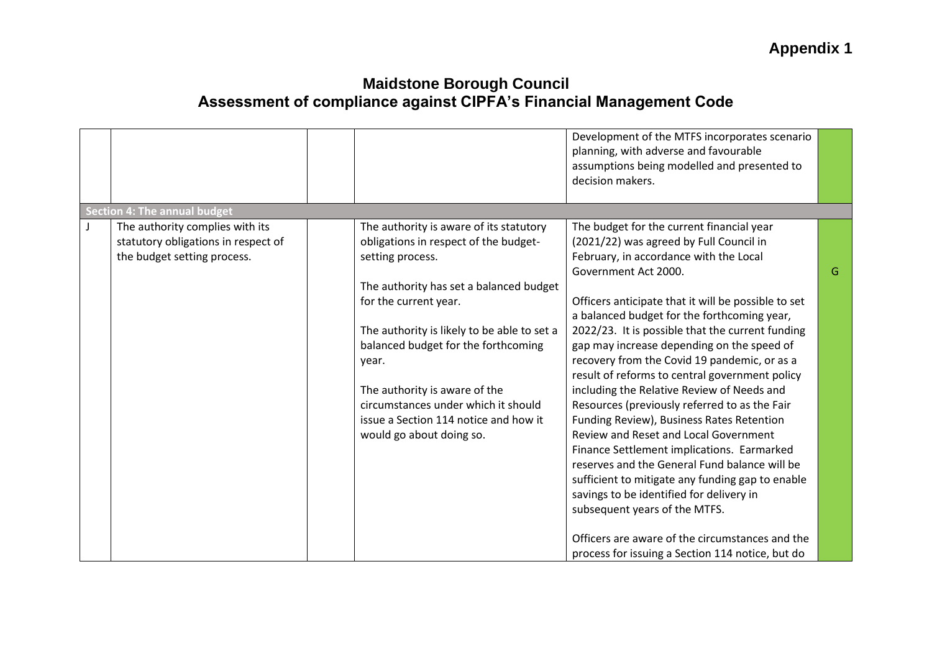|         |                                                                                                       |                                                                                                                                                                                                                                                                                                                                                                                                                      | Development of the MTFS incorporates scenario<br>planning, with adverse and favourable<br>assumptions being modelled and presented to<br>decision makers.                                                                                                                                                                                                                                                                                                                                                                                                                                                                                                                                                                                                                                                                                                                                                                                |   |
|---------|-------------------------------------------------------------------------------------------------------|----------------------------------------------------------------------------------------------------------------------------------------------------------------------------------------------------------------------------------------------------------------------------------------------------------------------------------------------------------------------------------------------------------------------|------------------------------------------------------------------------------------------------------------------------------------------------------------------------------------------------------------------------------------------------------------------------------------------------------------------------------------------------------------------------------------------------------------------------------------------------------------------------------------------------------------------------------------------------------------------------------------------------------------------------------------------------------------------------------------------------------------------------------------------------------------------------------------------------------------------------------------------------------------------------------------------------------------------------------------------|---|
|         | <b>Section 4: The annual budget</b>                                                                   |                                                                                                                                                                                                                                                                                                                                                                                                                      |                                                                                                                                                                                                                                                                                                                                                                                                                                                                                                                                                                                                                                                                                                                                                                                                                                                                                                                                          |   |
| $\perp$ | The authority complies with its<br>statutory obligations in respect of<br>the budget setting process. | The authority is aware of its statutory<br>obligations in respect of the budget-<br>setting process.<br>The authority has set a balanced budget<br>for the current year.<br>The authority is likely to be able to set a<br>balanced budget for the forthcoming<br>year.<br>The authority is aware of the<br>circumstances under which it should<br>issue a Section 114 notice and how it<br>would go about doing so. | The budget for the current financial year<br>(2021/22) was agreed by Full Council in<br>February, in accordance with the Local<br>Government Act 2000.<br>Officers anticipate that it will be possible to set<br>a balanced budget for the forthcoming year,<br>2022/23. It is possible that the current funding<br>gap may increase depending on the speed of<br>recovery from the Covid 19 pandemic, or as a<br>result of reforms to central government policy<br>including the Relative Review of Needs and<br>Resources (previously referred to as the Fair<br>Funding Review), Business Rates Retention<br>Review and Reset and Local Government<br>Finance Settlement implications. Earmarked<br>reserves and the General Fund balance will be<br>sufficient to mitigate any funding gap to enable<br>savings to be identified for delivery in<br>subsequent years of the MTFS.<br>Officers are aware of the circumstances and the | G |
|         |                                                                                                       |                                                                                                                                                                                                                                                                                                                                                                                                                      | process for issuing a Section 114 notice, but do                                                                                                                                                                                                                                                                                                                                                                                                                                                                                                                                                                                                                                                                                                                                                                                                                                                                                         |   |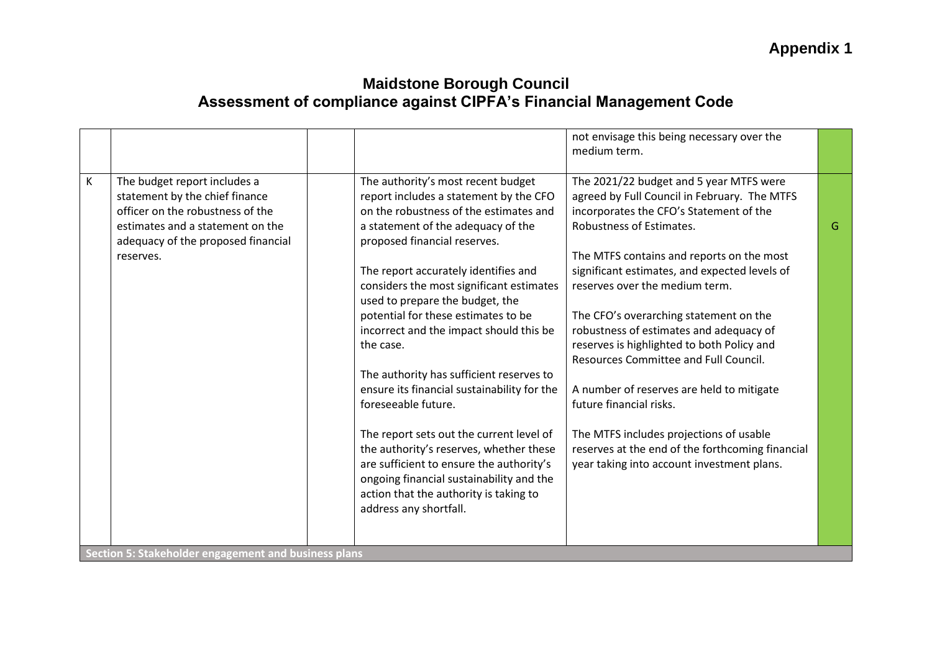|   |                                                                                                                                                                                           |                                                                                                                                                                                                                                                                                                                                                                                                                                                                                                                                                                                                                                                                                                                                                                                         | not envisage this being necessary over the<br>medium term.                                                                                                                                                                                                                                                                                                                                                                                                                                                                                                                                                                                                                                      |   |
|---|-------------------------------------------------------------------------------------------------------------------------------------------------------------------------------------------|-----------------------------------------------------------------------------------------------------------------------------------------------------------------------------------------------------------------------------------------------------------------------------------------------------------------------------------------------------------------------------------------------------------------------------------------------------------------------------------------------------------------------------------------------------------------------------------------------------------------------------------------------------------------------------------------------------------------------------------------------------------------------------------------|-------------------------------------------------------------------------------------------------------------------------------------------------------------------------------------------------------------------------------------------------------------------------------------------------------------------------------------------------------------------------------------------------------------------------------------------------------------------------------------------------------------------------------------------------------------------------------------------------------------------------------------------------------------------------------------------------|---|
| K | The budget report includes a<br>statement by the chief finance<br>officer on the robustness of the<br>estimates and a statement on the<br>adequacy of the proposed financial<br>reserves. | The authority's most recent budget<br>report includes a statement by the CFO<br>on the robustness of the estimates and<br>a statement of the adequacy of the<br>proposed financial reserves.<br>The report accurately identifies and<br>considers the most significant estimates<br>used to prepare the budget, the<br>potential for these estimates to be<br>incorrect and the impact should this be<br>the case.<br>The authority has sufficient reserves to<br>ensure its financial sustainability for the<br>foreseeable future.<br>The report sets out the current level of<br>the authority's reserves, whether these<br>are sufficient to ensure the authority's<br>ongoing financial sustainability and the<br>action that the authority is taking to<br>address any shortfall. | The 2021/22 budget and 5 year MTFS were<br>agreed by Full Council in February. The MTFS<br>incorporates the CFO's Statement of the<br>Robustness of Estimates.<br>The MTFS contains and reports on the most<br>significant estimates, and expected levels of<br>reserves over the medium term.<br>The CFO's overarching statement on the<br>robustness of estimates and adequacy of<br>reserves is highlighted to both Policy and<br>Resources Committee and Full Council.<br>A number of reserves are held to mitigate<br>future financial risks.<br>The MTFS includes projections of usable<br>reserves at the end of the forthcoming financial<br>year taking into account investment plans. | G |
|   | Section 5: Stakeholder engagement and business plans                                                                                                                                      |                                                                                                                                                                                                                                                                                                                                                                                                                                                                                                                                                                                                                                                                                                                                                                                         |                                                                                                                                                                                                                                                                                                                                                                                                                                                                                                                                                                                                                                                                                                 |   |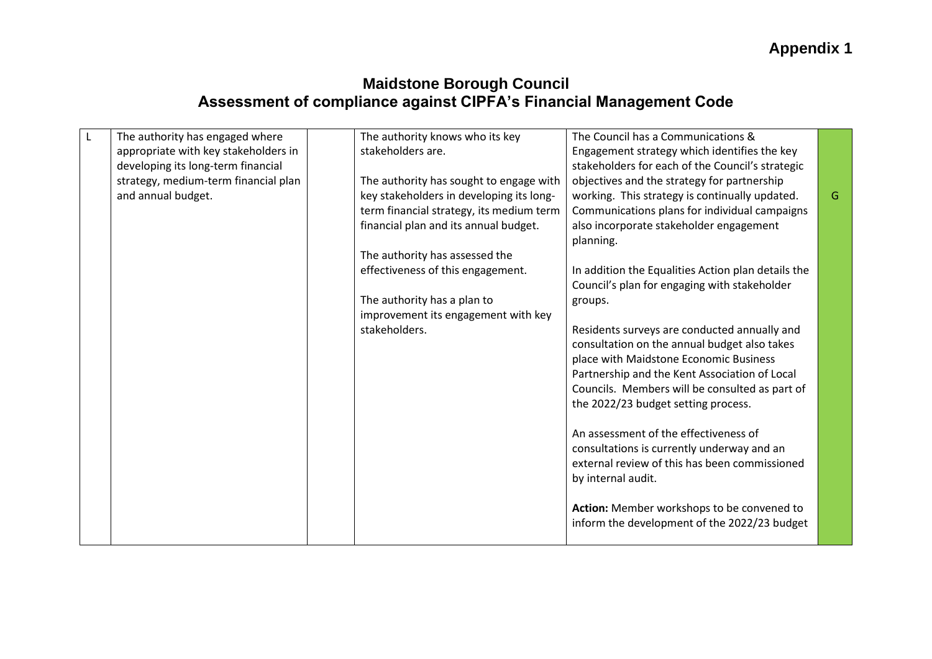| $\mathsf{L}$ | The authority has engaged where      | The authority knows who its key          | The Council has a Communications &                 |   |
|--------------|--------------------------------------|------------------------------------------|----------------------------------------------------|---|
|              | appropriate with key stakeholders in | stakeholders are.                        | Engagement strategy which identifies the key       |   |
|              | developing its long-term financial   |                                          | stakeholders for each of the Council's strategic   |   |
|              | strategy, medium-term financial plan | The authority has sought to engage with  | objectives and the strategy for partnership        |   |
|              | and annual budget.                   | key stakeholders in developing its long- | working. This strategy is continually updated.     | G |
|              |                                      | term financial strategy, its medium term | Communications plans for individual campaigns      |   |
|              |                                      | financial plan and its annual budget.    | also incorporate stakeholder engagement            |   |
|              |                                      |                                          | planning.                                          |   |
|              |                                      | The authority has assessed the           |                                                    |   |
|              |                                      | effectiveness of this engagement.        | In addition the Equalities Action plan details the |   |
|              |                                      |                                          | Council's plan for engaging with stakeholder       |   |
|              |                                      | The authority has a plan to              | groups.                                            |   |
|              |                                      | improvement its engagement with key      |                                                    |   |
|              |                                      | stakeholders.                            | Residents surveys are conducted annually and       |   |
|              |                                      |                                          | consultation on the annual budget also takes       |   |
|              |                                      |                                          | place with Maidstone Economic Business             |   |
|              |                                      |                                          | Partnership and the Kent Association of Local      |   |
|              |                                      |                                          | Councils. Members will be consulted as part of     |   |
|              |                                      |                                          | the 2022/23 budget setting process.                |   |
|              |                                      |                                          |                                                    |   |
|              |                                      |                                          | An assessment of the effectiveness of              |   |
|              |                                      |                                          | consultations is currently underway and an         |   |
|              |                                      |                                          | external review of this has been commissioned      |   |
|              |                                      |                                          | by internal audit.                                 |   |
|              |                                      |                                          |                                                    |   |
|              |                                      |                                          | Action: Member workshops to be convened to         |   |
|              |                                      |                                          | inform the development of the 2022/23 budget       |   |
|              |                                      |                                          |                                                    |   |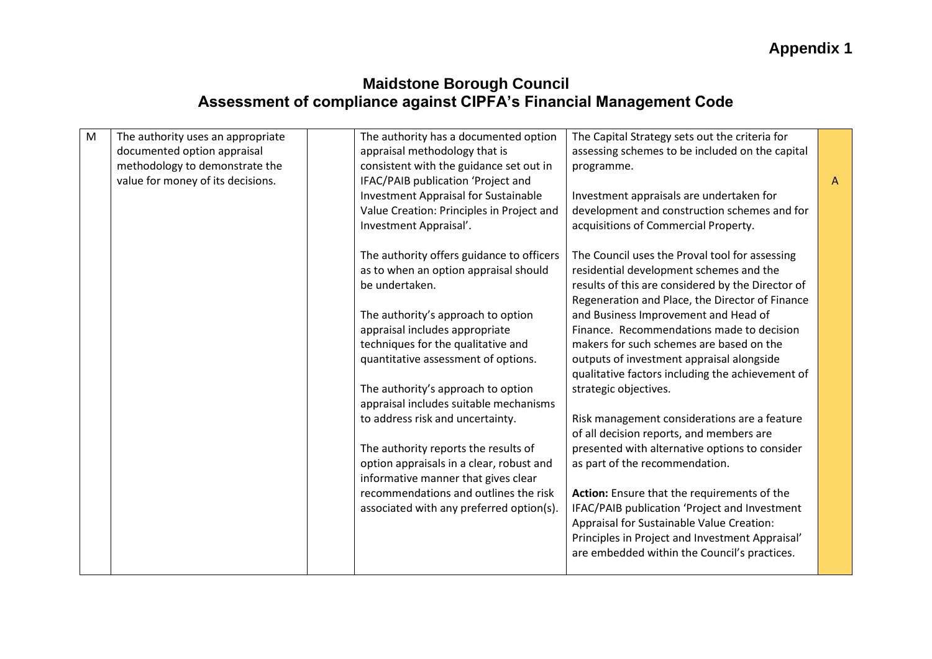| The authority uses an appropriate<br>The authority has a documented option<br>The Capital Strategy sets out the criteria for<br>M |              |
|-----------------------------------------------------------------------------------------------------------------------------------|--------------|
| documented option appraisal<br>appraisal methodology that is<br>assessing schemes to be included on the capital                   |              |
| methodology to demonstrate the<br>consistent with the guidance set out in<br>programme.                                           |              |
| value for money of its decisions.<br>IFAC/PAIB publication 'Project and                                                           | $\mathsf{A}$ |
| <b>Investment Appraisal for Sustainable</b><br>Investment appraisals are undertaken for                                           |              |
| development and construction schemes and for<br>Value Creation: Principles in Project and                                         |              |
| acquisitions of Commercial Property.<br>Investment Appraisal'.                                                                    |              |
| The authority offers guidance to officers<br>The Council uses the Proval tool for assessing                                       |              |
| residential development schemes and the<br>as to when an option appraisal should                                                  |              |
| results of this are considered by the Director of<br>be undertaken.                                                               |              |
| Regeneration and Place, the Director of Finance                                                                                   |              |
| and Business Improvement and Head of<br>The authority's approach to option                                                        |              |
| Finance. Recommendations made to decision<br>appraisal includes appropriate                                                       |              |
| techniques for the qualitative and<br>makers for such schemes are based on the                                                    |              |
| quantitative assessment of options.<br>outputs of investment appraisal alongside                                                  |              |
| qualitative factors including the achievement of                                                                                  |              |
| The authority's approach to option<br>strategic objectives.                                                                       |              |
| appraisal includes suitable mechanisms                                                                                            |              |
| to address risk and uncertainty.<br>Risk management considerations are a feature                                                  |              |
| of all decision reports, and members are                                                                                          |              |
| The authority reports the results of<br>presented with alternative options to consider                                            |              |
| as part of the recommendation.<br>option appraisals in a clear, robust and                                                        |              |
| informative manner that gives clear                                                                                               |              |
| recommendations and outlines the risk<br>Action: Ensure that the requirements of the                                              |              |
| associated with any preferred option(s).<br>IFAC/PAIB publication 'Project and Investment                                         |              |
| Appraisal for Sustainable Value Creation:                                                                                         |              |
| Principles in Project and Investment Appraisal'                                                                                   |              |
| are embedded within the Council's practices.                                                                                      |              |
|                                                                                                                                   |              |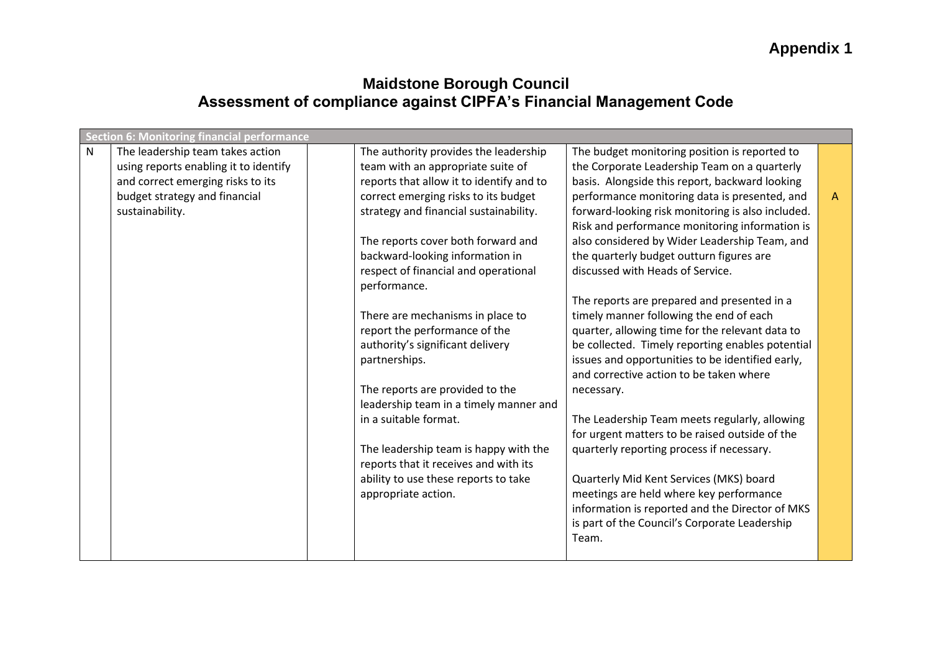|   | <b>Section 6: Monitoring financial performance</b> |                                          |                                                   |              |
|---|----------------------------------------------------|------------------------------------------|---------------------------------------------------|--------------|
| N | The leadership team takes action                   | The authority provides the leadership    | The budget monitoring position is reported to     |              |
|   | using reports enabling it to identify              | team with an appropriate suite of        | the Corporate Leadership Team on a quarterly      |              |
|   | and correct emerging risks to its                  | reports that allow it to identify and to | basis. Alongside this report, backward looking    |              |
|   | budget strategy and financial                      | correct emerging risks to its budget     | performance monitoring data is presented, and     | $\mathsf{A}$ |
|   | sustainability.                                    | strategy and financial sustainability.   | forward-looking risk monitoring is also included. |              |
|   |                                                    |                                          | Risk and performance monitoring information is    |              |
|   |                                                    | The reports cover both forward and       | also considered by Wider Leadership Team, and     |              |
|   |                                                    | backward-looking information in          | the quarterly budget outturn figures are          |              |
|   |                                                    | respect of financial and operational     | discussed with Heads of Service.                  |              |
|   |                                                    | performance.                             |                                                   |              |
|   |                                                    |                                          | The reports are prepared and presented in a       |              |
|   |                                                    | There are mechanisms in place to         | timely manner following the end of each           |              |
|   |                                                    | report the performance of the            | quarter, allowing time for the relevant data to   |              |
|   |                                                    | authority's significant delivery         | be collected. Timely reporting enables potential  |              |
|   |                                                    | partnerships.                            | issues and opportunities to be identified early,  |              |
|   |                                                    |                                          | and corrective action to be taken where           |              |
|   |                                                    | The reports are provided to the          | necessary.                                        |              |
|   |                                                    | leadership team in a timely manner and   |                                                   |              |
|   |                                                    | in a suitable format.                    | The Leadership Team meets regularly, allowing     |              |
|   |                                                    |                                          | for urgent matters to be raised outside of the    |              |
|   |                                                    | The leadership team is happy with the    | quarterly reporting process if necessary.         |              |
|   |                                                    | reports that it receives and with its    |                                                   |              |
|   |                                                    | ability to use these reports to take     | Quarterly Mid Kent Services (MKS) board           |              |
|   |                                                    | appropriate action.                      | meetings are held where key performance           |              |
|   |                                                    |                                          | information is reported and the Director of MKS   |              |
|   |                                                    |                                          | is part of the Council's Corporate Leadership     |              |
|   |                                                    |                                          | Team.                                             |              |
|   |                                                    |                                          |                                                   |              |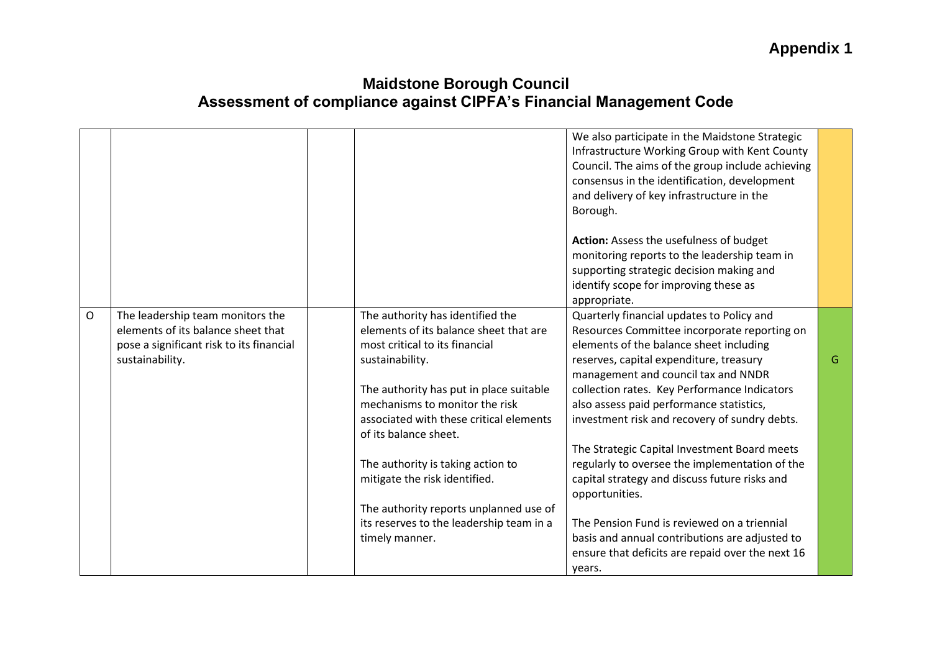|              |                                                                                                                                       |                                                                                                                                                                                                                                                                                  | We also participate in the Maidstone Strategic<br>Infrastructure Working Group with Kent County<br>Council. The aims of the group include achieving<br>consensus in the identification, development<br>and delivery of key infrastructure in the<br>Borough.                                                                                                        |   |
|--------------|---------------------------------------------------------------------------------------------------------------------------------------|----------------------------------------------------------------------------------------------------------------------------------------------------------------------------------------------------------------------------------------------------------------------------------|---------------------------------------------------------------------------------------------------------------------------------------------------------------------------------------------------------------------------------------------------------------------------------------------------------------------------------------------------------------------|---|
|              |                                                                                                                                       |                                                                                                                                                                                                                                                                                  | Action: Assess the usefulness of budget<br>monitoring reports to the leadership team in<br>supporting strategic decision making and<br>identify scope for improving these as<br>appropriate.                                                                                                                                                                        |   |
| $\mathsf{O}$ | The leadership team monitors the<br>elements of its balance sheet that<br>pose a significant risk to its financial<br>sustainability. | The authority has identified the<br>elements of its balance sheet that are<br>most critical to its financial<br>sustainability.<br>The authority has put in place suitable<br>mechanisms to monitor the risk<br>associated with these critical elements<br>of its balance sheet. | Quarterly financial updates to Policy and<br>Resources Committee incorporate reporting on<br>elements of the balance sheet including<br>reserves, capital expenditure, treasury<br>management and council tax and NNDR<br>collection rates. Key Performance Indicators<br>also assess paid performance statistics,<br>investment risk and recovery of sundry debts. | G |
|              |                                                                                                                                       | The authority is taking action to<br>mitigate the risk identified.<br>The authority reports unplanned use of<br>its reserves to the leadership team in a<br>timely manner.                                                                                                       | The Strategic Capital Investment Board meets<br>regularly to oversee the implementation of the<br>capital strategy and discuss future risks and<br>opportunities.<br>The Pension Fund is reviewed on a triennial<br>basis and annual contributions are adjusted to<br>ensure that deficits are repaid over the next 16                                              |   |
|              |                                                                                                                                       |                                                                                                                                                                                                                                                                                  | vears.                                                                                                                                                                                                                                                                                                                                                              |   |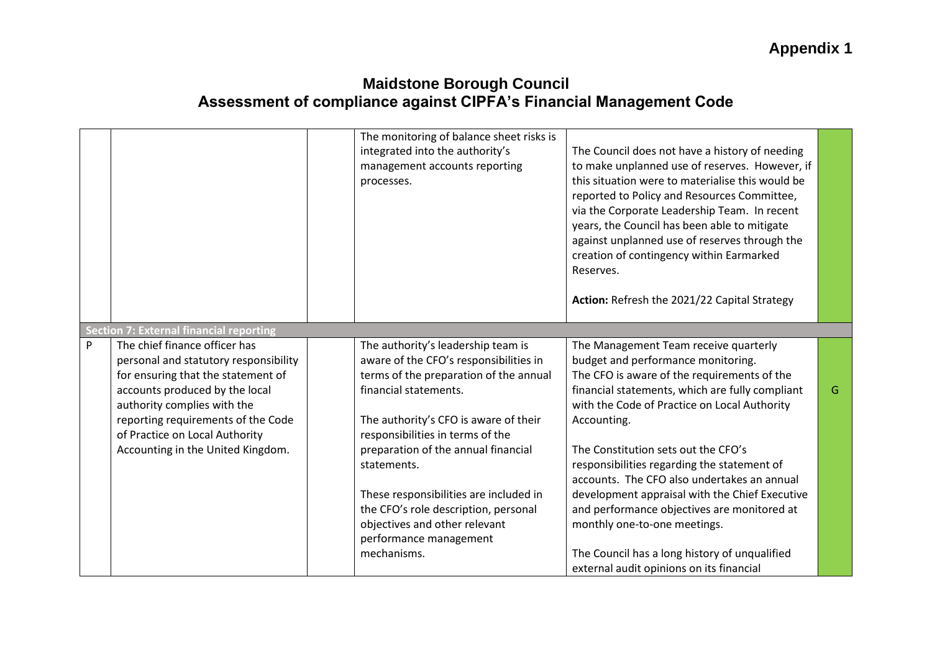|   |                                                                                                                                                                                                                                                                                            | The monitoring of balance sheet risks is<br>integrated into the authority's<br>management accounts reporting<br>processes.                                                                                                                                                                                                                                                                                                                     | The Council does not have a history of needing<br>to make unplanned use of reserves. However, if<br>this situation were to materialise this would be<br>reported to Policy and Resources Committee,<br>via the Corporate Leadership Team. In recent<br>years, the Council has been able to mitigate<br>against unplanned use of reserves through the<br>creation of contingency within Earmarked<br>Reserves.<br>Action: Refresh the 2021/22 Capital Strategy                                                                                                                                                   |   |
|---|--------------------------------------------------------------------------------------------------------------------------------------------------------------------------------------------------------------------------------------------------------------------------------------------|------------------------------------------------------------------------------------------------------------------------------------------------------------------------------------------------------------------------------------------------------------------------------------------------------------------------------------------------------------------------------------------------------------------------------------------------|-----------------------------------------------------------------------------------------------------------------------------------------------------------------------------------------------------------------------------------------------------------------------------------------------------------------------------------------------------------------------------------------------------------------------------------------------------------------------------------------------------------------------------------------------------------------------------------------------------------------|---|
|   | <b>Section 7: External financial reporting</b>                                                                                                                                                                                                                                             |                                                                                                                                                                                                                                                                                                                                                                                                                                                |                                                                                                                                                                                                                                                                                                                                                                                                                                                                                                                                                                                                                 |   |
| P | The chief finance officer has<br>personal and statutory responsibility<br>for ensuring that the statement of<br>accounts produced by the local<br>authority complies with the<br>reporting requirements of the Code<br>of Practice on Local Authority<br>Accounting in the United Kingdom. | The authority's leadership team is<br>aware of the CFO's responsibilities in<br>terms of the preparation of the annual<br>financial statements.<br>The authority's CFO is aware of their<br>responsibilities in terms of the<br>preparation of the annual financial<br>statements.<br>These responsibilities are included in<br>the CFO's role description, personal<br>objectives and other relevant<br>performance management<br>mechanisms. | The Management Team receive quarterly<br>budget and performance monitoring.<br>The CFO is aware of the requirements of the<br>financial statements, which are fully compliant<br>with the Code of Practice on Local Authority<br>Accounting.<br>The Constitution sets out the CFO's<br>responsibilities regarding the statement of<br>accounts. The CFO also undertakes an annual<br>development appraisal with the Chief Executive<br>and performance objectives are monitored at<br>monthly one-to-one meetings.<br>The Council has a long history of unqualified<br>external audit opinions on its financial | G |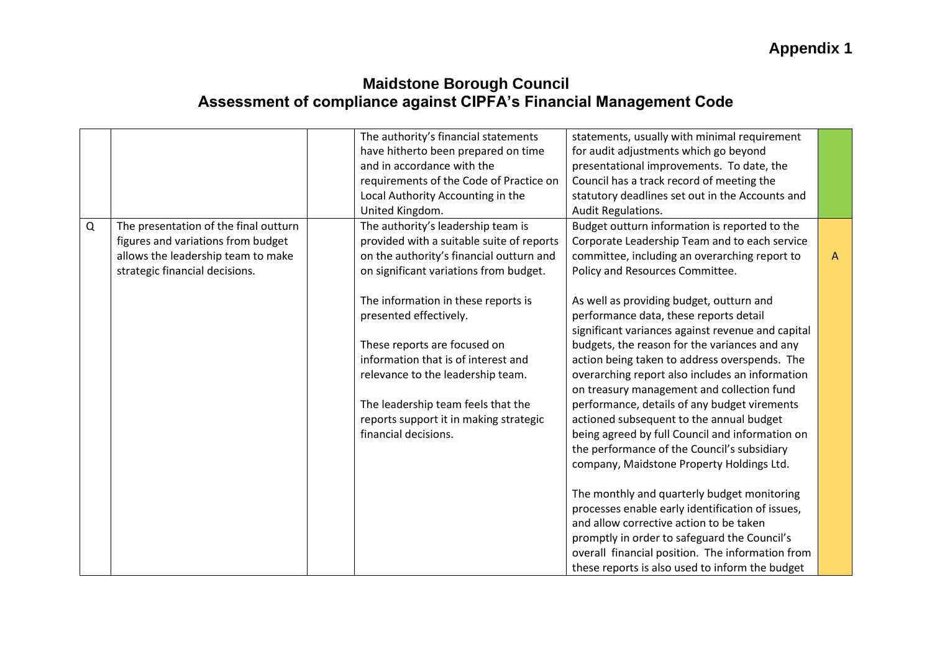|          |                                       | The authority's financial statements      | statements, usually with minimal requirement      |              |
|----------|---------------------------------------|-------------------------------------------|---------------------------------------------------|--------------|
|          |                                       | have hitherto been prepared on time       | for audit adjustments which go beyond             |              |
|          |                                       | and in accordance with the                | presentational improvements. To date, the         |              |
|          |                                       | requirements of the Code of Practice on   | Council has a track record of meeting the         |              |
|          |                                       | Local Authority Accounting in the         | statutory deadlines set out in the Accounts and   |              |
|          |                                       | United Kingdom.                           | Audit Regulations.                                |              |
| $\Omega$ | The presentation of the final outturn | The authority's leadership team is        | Budget outturn information is reported to the     |              |
|          | figures and variations from budget    | provided with a suitable suite of reports | Corporate Leadership Team and to each service     |              |
|          | allows the leadership team to make    | on the authority's financial outturn and  | committee, including an overarching report to     | $\mathsf{A}$ |
|          | strategic financial decisions.        | on significant variations from budget.    | Policy and Resources Committee.                   |              |
|          |                                       |                                           |                                                   |              |
|          |                                       | The information in these reports is       | As well as providing budget, outturn and          |              |
|          |                                       | presented effectively.                    | performance data, these reports detail            |              |
|          |                                       |                                           | significant variances against revenue and capital |              |
|          |                                       | These reports are focused on              | budgets, the reason for the variances and any     |              |
|          |                                       | information that is of interest and       | action being taken to address overspends. The     |              |
|          |                                       | relevance to the leadership team.         | overarching report also includes an information   |              |
|          |                                       |                                           | on treasury management and collection fund        |              |
|          |                                       | The leadership team feels that the        | performance, details of any budget virements      |              |
|          |                                       | reports support it in making strategic    | actioned subsequent to the annual budget          |              |
|          |                                       | financial decisions.                      | being agreed by full Council and information on   |              |
|          |                                       |                                           | the performance of the Council's subsidiary       |              |
|          |                                       |                                           | company, Maidstone Property Holdings Ltd.         |              |
|          |                                       |                                           |                                                   |              |
|          |                                       |                                           | The monthly and quarterly budget monitoring       |              |
|          |                                       |                                           | processes enable early identification of issues,  |              |
|          |                                       |                                           | and allow corrective action to be taken           |              |
|          |                                       |                                           | promptly in order to safeguard the Council's      |              |
|          |                                       |                                           | overall financial position. The information from  |              |
|          |                                       |                                           | these reports is also used to inform the budget   |              |